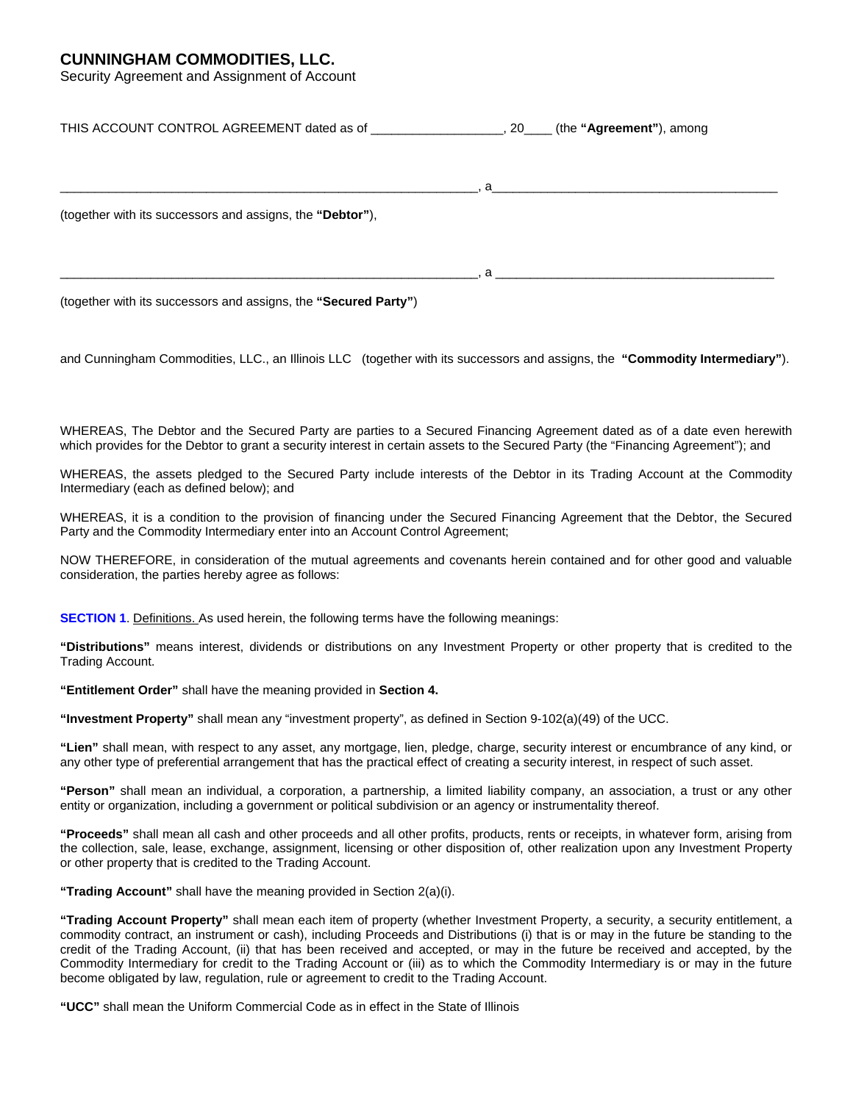# **CUNNINGHAM COMMODITIES, LLC.**

Security Agreement and Assignment of Account

| THIS ACCOUNT CONTROL AGREEMENT dated as of ______________________, 20_____ (the "Agreement"), among |                                                 |
|-----------------------------------------------------------------------------------------------------|-------------------------------------------------|
|                                                                                                     | $\mathbf{a}$ , and the contract of $\mathbf{a}$ |
| (together with its successors and assigns, the "Debtor"),                                           |                                                 |
|                                                                                                     | $\mathbf a$                                     |

(together with its successors and assigns, the **"Secured Party"**)

and Cunningham Commodities, LLC., an Illinois LLC (together with its successors and assigns, the **"Commodity Intermediary"**).

WHEREAS, The Debtor and the Secured Party are parties to a Secured Financing Agreement dated as of a date even herewith which provides for the Debtor to grant a security interest in certain assets to the Secured Party (the "Financing Agreement"); and

WHEREAS, the assets pledged to the Secured Party include interests of the Debtor in its Trading Account at the Commodity Intermediary (each as defined below); and

WHEREAS, it is a condition to the provision of financing under the Secured Financing Agreement that the Debtor, the Secured Party and the Commodity Intermediary enter into an Account Control Agreement;

NOW THEREFORE, in consideration of the mutual agreements and covenants herein contained and for other good and valuable consideration, the parties hereby agree as follows:

**SECTION 1.** Definitions. As used herein, the following terms have the following meanings:

**"Distributions"** means interest, dividends or distributions on any Investment Property or other property that is credited to the Trading Account.

**"Entitlement Order"** shall have the meaning provided in **Section 4.** 

**"Investment Property"** shall mean any "investment property", as defined in Section 9-102(a)(49) of the UCC.

**"Lien"** shall mean, with respect to any asset, any mortgage, lien, pledge, charge, security interest or encumbrance of any kind, or any other type of preferential arrangement that has the practical effect of creating a security interest, in respect of such asset.

**"Person"** shall mean an individual, a corporation, a partnership, a limited liability company, an association, a trust or any other entity or organization, including a government or political subdivision or an agency or instrumentality thereof.

**"Proceeds"** shall mean all cash and other proceeds and all other profits, products, rents or receipts, in whatever form, arising from the collection, sale, lease, exchange, assignment, licensing or other disposition of, other realization upon any Investment Property or other property that is credited to the Trading Account.

**"Trading Account"** shall have the meaning provided in Section 2(a)(i).

**"Trading Account Property"** shall mean each item of property (whether Investment Property, a security, a security entitlement, a commodity contract, an instrument or cash), including Proceeds and Distributions (i) that is or may in the future be standing to the credit of the Trading Account, (ii) that has been received and accepted, or may in the future be received and accepted, by the Commodity Intermediary for credit to the Trading Account or (iii) as to which the Commodity Intermediary is or may in the future become obligated by law, regulation, rule or agreement to credit to the Trading Account.

**"UCC"** shall mean the Uniform Commercial Code as in effect in the State of Illinois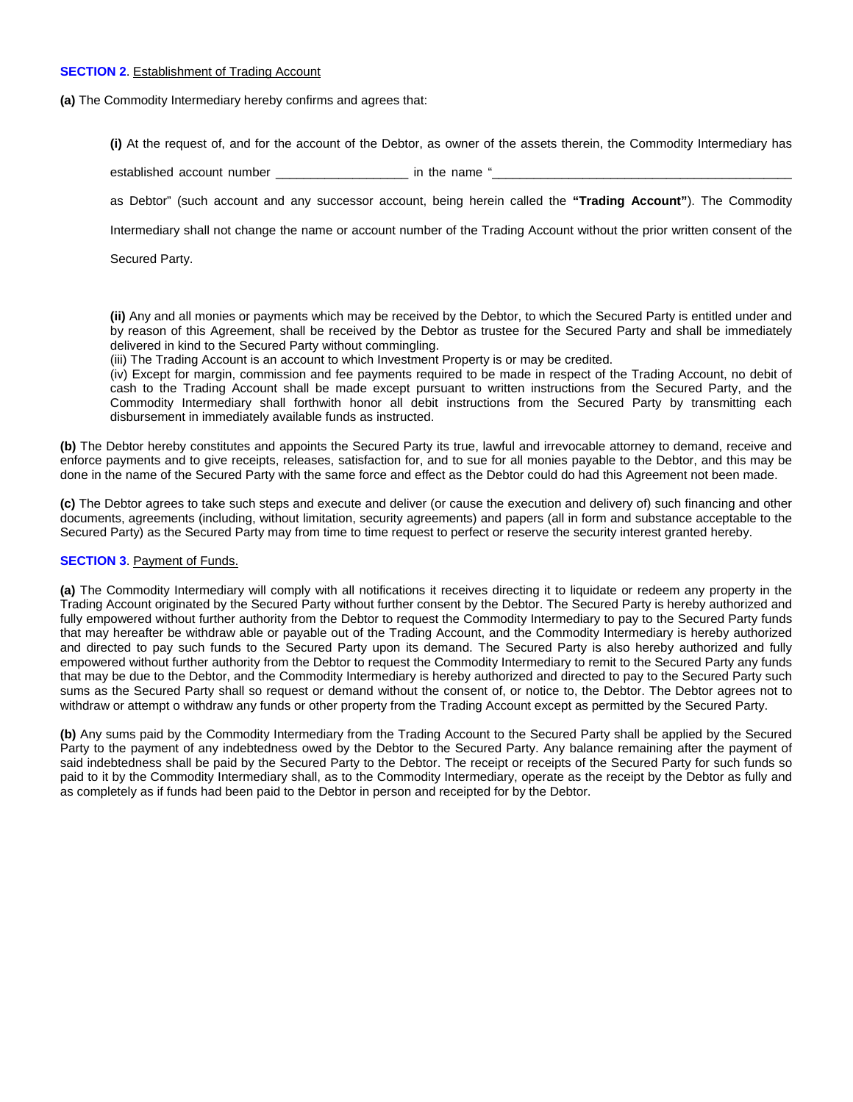## **SECTION 2.** Establishment of Trading Account

**(a)** The Commodity Intermediary hereby confirms and agrees that:

**(i)** At the request of, and for the account of the Debtor, as owner of the assets therein, the Commodity Intermediary has

established account number example in the name "

as Debtor" (such account and any successor account, being herein called the **"Trading Account"**). The Commodity

Intermediary shall not change the name or account number of the Trading Account without the prior written consent of the

Secured Party.

**(ii)** Any and all monies or payments which may be received by the Debtor, to which the Secured Party is entitled under and by reason of this Agreement, shall be received by the Debtor as trustee for the Secured Party and shall be immediately delivered in kind to the Secured Party without commingling.

(iii) The Trading Account is an account to which Investment Property is or may be credited.

(iv) Except for margin, commission and fee payments required to be made in respect of the Trading Account, no debit of cash to the Trading Account shall be made except pursuant to written instructions from the Secured Party, and the Commodity Intermediary shall forthwith honor all debit instructions from the Secured Party by transmitting each disbursement in immediately available funds as instructed.

**(b)** The Debtor hereby constitutes and appoints the Secured Party its true, lawful and irrevocable attorney to demand, receive and enforce payments and to give receipts, releases, satisfaction for, and to sue for all monies payable to the Debtor, and this may be done in the name of the Secured Party with the same force and effect as the Debtor could do had this Agreement not been made.

**(c)** The Debtor agrees to take such steps and execute and deliver (or cause the execution and delivery of) such financing and other documents, agreements (including, without limitation, security agreements) and papers (all in form and substance acceptable to the Secured Party) as the Secured Party may from time to time request to perfect or reserve the security interest granted hereby.

#### **SECTION 3. Payment of Funds.**

**(a)** The Commodity Intermediary will comply with all notifications it receives directing it to liquidate or redeem any property in the Trading Account originated by the Secured Party without further consent by the Debtor. The Secured Party is hereby authorized and fully empowered without further authority from the Debtor to request the Commodity Intermediary to pay to the Secured Party funds that may hereafter be withdraw able or payable out of the Trading Account, and the Commodity Intermediary is hereby authorized and directed to pay such funds to the Secured Party upon its demand. The Secured Party is also hereby authorized and fully empowered without further authority from the Debtor to request the Commodity Intermediary to remit to the Secured Party any funds that may be due to the Debtor, and the Commodity Intermediary is hereby authorized and directed to pay to the Secured Party such sums as the Secured Party shall so request or demand without the consent of, or notice to, the Debtor. The Debtor agrees not to withdraw or attempt o withdraw any funds or other property from the Trading Account except as permitted by the Secured Party.

**(b)** Any sums paid by the Commodity Intermediary from the Trading Account to the Secured Party shall be applied by the Secured Party to the payment of any indebtedness owed by the Debtor to the Secured Party. Any balance remaining after the payment of said indebtedness shall be paid by the Secured Party to the Debtor. The receipt or receipts of the Secured Party for such funds so paid to it by the Commodity Intermediary shall, as to the Commodity Intermediary, operate as the receipt by the Debtor as fully and as completely as if funds had been paid to the Debtor in person and receipted for by the Debtor.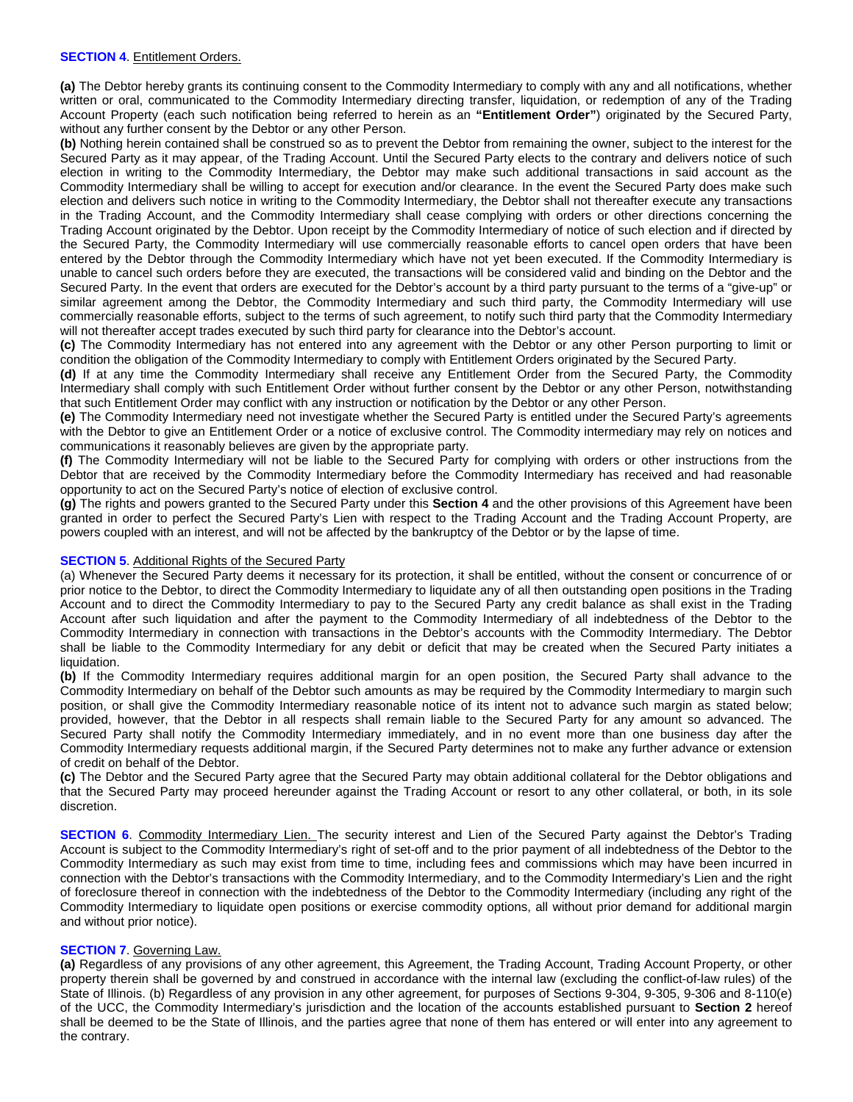## **SECTION 4. Entitlement Orders.**

**(a)** The Debtor hereby grants its continuing consent to the Commodity Intermediary to comply with any and all notifications, whether written or oral, communicated to the Commodity Intermediary directing transfer, liquidation, or redemption of any of the Trading Account Property (each such notification being referred to herein as an **"Entitlement Order"**) originated by the Secured Party, without any further consent by the Debtor or any other Person.

**(b)** Nothing herein contained shall be construed so as to prevent the Debtor from remaining the owner, subject to the interest for the Secured Party as it may appear, of the Trading Account. Until the Secured Party elects to the contrary and delivers notice of such election in writing to the Commodity Intermediary, the Debtor may make such additional transactions in said account as the Commodity Intermediary shall be willing to accept for execution and/or clearance. In the event the Secured Party does make such election and delivers such notice in writing to the Commodity Intermediary, the Debtor shall not thereafter execute any transactions in the Trading Account, and the Commodity Intermediary shall cease complying with orders or other directions concerning the Trading Account originated by the Debtor. Upon receipt by the Commodity Intermediary of notice of such election and if directed by the Secured Party, the Commodity Intermediary will use commercially reasonable efforts to cancel open orders that have been entered by the Debtor through the Commodity Intermediary which have not yet been executed. If the Commodity Intermediary is unable to cancel such orders before they are executed, the transactions will be considered valid and binding on the Debtor and the Secured Party. In the event that orders are executed for the Debtor's account by a third party pursuant to the terms of a "give-up" or similar agreement among the Debtor, the Commodity Intermediary and such third party, the Commodity Intermediary will use commercially reasonable efforts, subject to the terms of such agreement, to notify such third party that the Commodity Intermediary will not thereafter accept trades executed by such third party for clearance into the Debtor's account.

**(c)** The Commodity Intermediary has not entered into any agreement with the Debtor or any other Person purporting to limit or condition the obligation of the Commodity Intermediary to comply with Entitlement Orders originated by the Secured Party.

**(d)** If at any time the Commodity Intermediary shall receive any Entitlement Order from the Secured Party, the Commodity Intermediary shall comply with such Entitlement Order without further consent by the Debtor or any other Person, notwithstanding that such Entitlement Order may conflict with any instruction or notification by the Debtor or any other Person.

**(e)** The Commodity Intermediary need not investigate whether the Secured Party is entitled under the Secured Party's agreements with the Debtor to give an Entitlement Order or a notice of exclusive control. The Commodity intermediary may rely on notices and communications it reasonably believes are given by the appropriate party.

**(f)** The Commodity Intermediary will not be liable to the Secured Party for complying with orders or other instructions from the Debtor that are received by the Commodity Intermediary before the Commodity Intermediary has received and had reasonable opportunity to act on the Secured Party's notice of election of exclusive control.

**(g)** The rights and powers granted to the Secured Party under this **Section 4** and the other provisions of this Agreement have been granted in order to perfect the Secured Party's Lien with respect to the Trading Account and the Trading Account Property, are powers coupled with an interest, and will not be affected by the bankruptcy of the Debtor or by the lapse of time.

#### **SECTION 5.** Additional Rights of the Secured Party

(a) Whenever the Secured Party deems it necessary for its protection, it shall be entitled, without the consent or concurrence of or prior notice to the Debtor, to direct the Commodity Intermediary to liquidate any of all then outstanding open positions in the Trading Account and to direct the Commodity Intermediary to pay to the Secured Party any credit balance as shall exist in the Trading Account after such liquidation and after the payment to the Commodity Intermediary of all indebtedness of the Debtor to the Commodity Intermediary in connection with transactions in the Debtor's accounts with the Commodity Intermediary. The Debtor shall be liable to the Commodity Intermediary for any debit or deficit that may be created when the Secured Party initiates a liquidation.

**(b)** If the Commodity Intermediary requires additional margin for an open position, the Secured Party shall advance to the Commodity Intermediary on behalf of the Debtor such amounts as may be required by the Commodity Intermediary to margin such position, or shall give the Commodity Intermediary reasonable notice of its intent not to advance such margin as stated below; provided, however, that the Debtor in all respects shall remain liable to the Secured Party for any amount so advanced. The Secured Party shall notify the Commodity Intermediary immediately, and in no event more than one business day after the Commodity Intermediary requests additional margin, if the Secured Party determines not to make any further advance or extension of credit on behalf of the Debtor.

**(c)** The Debtor and the Secured Party agree that the Secured Party may obtain additional collateral for the Debtor obligations and that the Secured Party may proceed hereunder against the Trading Account or resort to any other collateral, or both, in its sole discretion.

**SECTION 6.** Commodity Intermediary Lien. The security interest and Lien of the Secured Party against the Debtor's Trading Account is subject to the Commodity Intermediary's right of set-off and to the prior payment of all indebtedness of the Debtor to the Commodity Intermediary as such may exist from time to time, including fees and commissions which may have been incurred in connection with the Debtor's transactions with the Commodity Intermediary, and to the Commodity Intermediary's Lien and the right of foreclosure thereof in connection with the indebtedness of the Debtor to the Commodity Intermediary (including any right of the Commodity Intermediary to liquidate open positions or exercise commodity options, all without prior demand for additional margin and without prior notice).

# **SECTION 7**. Governing Law.

**(a)** Regardless of any provisions of any other agreement, this Agreement, the Trading Account, Trading Account Property, or other property therein shall be governed by and construed in accordance with the internal law (excluding the conflict-of-law rules) of the State of Illinois. (b) Regardless of any provision in any other agreement, for purposes of Sections 9-304, 9-305, 9-306 and 8-110(e) of the UCC, the Commodity Intermediary's jurisdiction and the location of the accounts established pursuant to **Section 2** hereof shall be deemed to be the State of Illinois, and the parties agree that none of them has entered or will enter into any agreement to the contrary.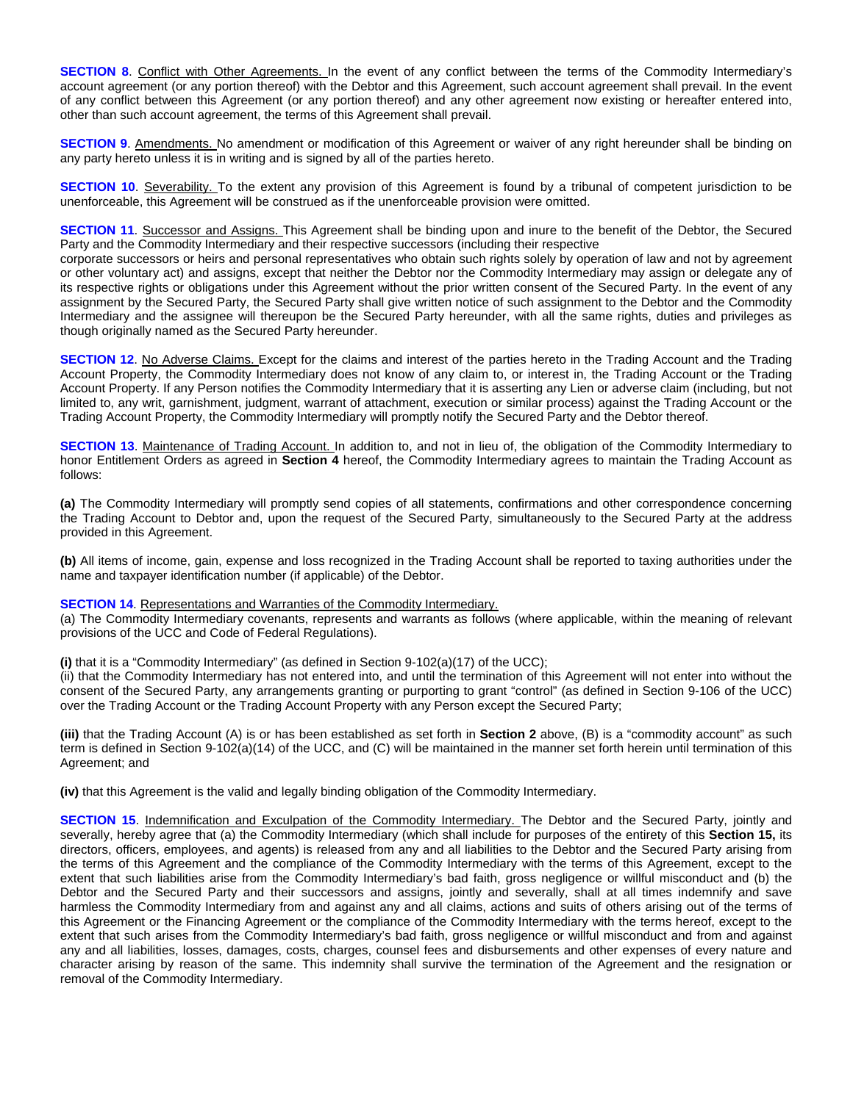**SECTION 8.** Conflict with Other Agreements. In the event of any conflict between the terms of the Commodity Intermediary's account agreement (or any portion thereof) with the Debtor and this Agreement, such account agreement shall prevail. In the event of any conflict between this Agreement (or any portion thereof) and any other agreement now existing or hereafter entered into, other than such account agreement, the terms of this Agreement shall prevail.

**SECTION 9**. Amendments. No amendment or modification of this Agreement or waiver of any right hereunder shall be binding on any party hereto unless it is in writing and is signed by all of the parties hereto.

**SECTION 10.** Severability. To the extent any provision of this Agreement is found by a tribunal of competent jurisdiction to be unenforceable, this Agreement will be construed as if the unenforceable provision were omitted.

**SECTION 11**. Successor and Assigns. This Agreement shall be binding upon and inure to the benefit of the Debtor, the Secured Party and the Commodity Intermediary and their respective successors (including their respective

corporate successors or heirs and personal representatives who obtain such rights solely by operation of law and not by agreement or other voluntary act) and assigns, except that neither the Debtor nor the Commodity Intermediary may assign or delegate any of its respective rights or obligations under this Agreement without the prior written consent of the Secured Party. In the event of any assignment by the Secured Party, the Secured Party shall give written notice of such assignment to the Debtor and the Commodity Intermediary and the assignee will thereupon be the Secured Party hereunder, with all the same rights, duties and privileges as though originally named as the Secured Party hereunder.

**SECTION 12.** No Adverse Claims. Except for the claims and interest of the parties hereto in the Trading Account and the Trading Account Property, the Commodity Intermediary does not know of any claim to, or interest in, the Trading Account or the Trading Account Property. If any Person notifies the Commodity Intermediary that it is asserting any Lien or adverse claim (including, but not limited to, any writ, garnishment, judgment, warrant of attachment, execution or similar process) against the Trading Account or the Trading Account Property, the Commodity Intermediary will promptly notify the Secured Party and the Debtor thereof.

**SECTION 13**. Maintenance of Trading Account. In addition to, and not in lieu of, the obligation of the Commodity Intermediary to honor Entitlement Orders as agreed in **Section 4** hereof, the Commodity Intermediary agrees to maintain the Trading Account as follows:

**(a)** The Commodity Intermediary will promptly send copies of all statements, confirmations and other correspondence concerning the Trading Account to Debtor and, upon the request of the Secured Party, simultaneously to the Secured Party at the address provided in this Agreement.

**(b)** All items of income, gain, expense and loss recognized in the Trading Account shall be reported to taxing authorities under the name and taxpayer identification number (if applicable) of the Debtor.

#### **SECTION 14. Representations and Warranties of the Commodity Intermediary.**

(a) The Commodity Intermediary covenants, represents and warrants as follows (where applicable, within the meaning of relevant provisions of the UCC and Code of Federal Regulations).

#### **(i)** that it is a "Commodity Intermediary" (as defined in Section 9-102(a)(17) of the UCC);

(ii) that the Commodity Intermediary has not entered into, and until the termination of this Agreement will not enter into without the consent of the Secured Party, any arrangements granting or purporting to grant "control" (as defined in Section 9-106 of the UCC) over the Trading Account or the Trading Account Property with any Person except the Secured Party;

**(iii)** that the Trading Account (A) is or has been established as set forth in **Section 2** above, (B) is a "commodity account" as such term is defined in Section 9-102(a)(14) of the UCC, and (C) will be maintained in the manner set forth herein until termination of this Agreement; and

**(iv)** that this Agreement is the valid and legally binding obligation of the Commodity Intermediary.

**SECTION 15.** Indemnification and Exculpation of the Commodity Intermediary. The Debtor and the Secured Party, jointly and severally, hereby agree that (a) the Commodity Intermediary (which shall include for purposes of the entirety of this **Section 15,** its directors, officers, employees, and agents) is released from any and all liabilities to the Debtor and the Secured Party arising from the terms of this Agreement and the compliance of the Commodity Intermediary with the terms of this Agreement, except to the extent that such liabilities arise from the Commodity Intermediary's bad faith, gross negligence or willful misconduct and (b) the Debtor and the Secured Party and their successors and assigns, jointly and severally, shall at all times indemnify and save harmless the Commodity Intermediary from and against any and all claims, actions and suits of others arising out of the terms of this Agreement or the Financing Agreement or the compliance of the Commodity Intermediary with the terms hereof, except to the extent that such arises from the Commodity Intermediary's bad faith, gross negligence or willful misconduct and from and against any and all liabilities, losses, damages, costs, charges, counsel fees and disbursements and other expenses of every nature and character arising by reason of the same. This indemnity shall survive the termination of the Agreement and the resignation or removal of the Commodity Intermediary.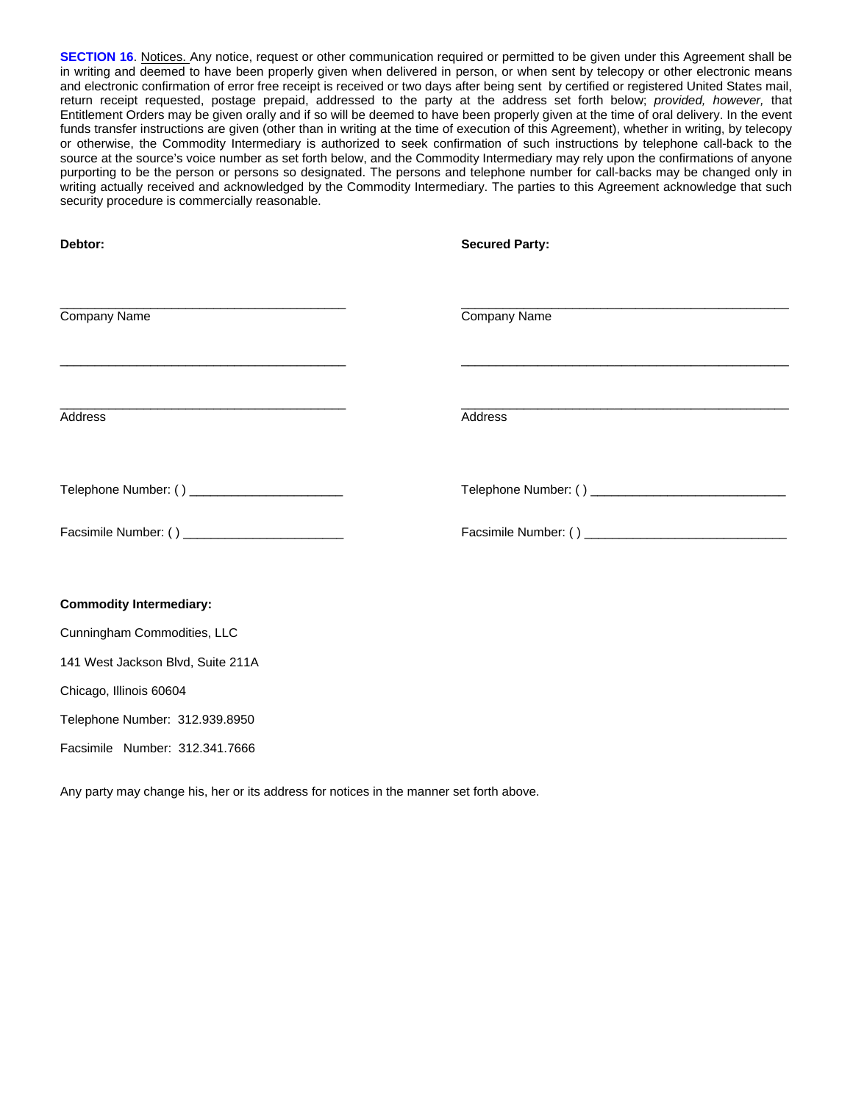**SECTION 16**. Notices. Any notice, request or other communication required or permitted to be given under this Agreement shall be in writing and deemed to have been properly given when delivered in person, or when sent by telecopy or other electronic means and electronic confirmation of error free receipt is received or two days after being sent by certified or registered United States mail, return receipt requested, postage prepaid, addressed to the party at the address set forth below; *provided, however,* that Entitlement Orders may be given orally and if so will be deemed to have been properly given at the time of oral delivery. In the event funds transfer instructions are given (other than in writing at the time of execution of this Agreement), whether in writing, by telecopy or otherwise, the Commodity Intermediary is authorized to seek confirmation of such instructions by telephone call-back to the source at the source's voice number as set forth below, and the Commodity Intermediary may rely upon the confirmations of anyone purporting to be the person or persons so designated. The persons and telephone number for call-backs may be changed only in writing actually received and acknowledged by the Commodity Intermediary. The parties to this Agreement acknowledge that such security procedure is commercially reasonable.

| Debtor:                                                                                                                                                                                                                                                    | <b>Secured Party:</b> |
|------------------------------------------------------------------------------------------------------------------------------------------------------------------------------------------------------------------------------------------------------------|-----------------------|
| the control of the control of the control of the control of the control of the control of the control of the control of the control of the control of the control of the control of the control of the control of the control<br>Company Name              | Company Name          |
| <u> 1989 - An Dùbhlachd ann an Dùbhlachd ann an Dùbhlachd ann an Dùbhlachd ann an Dùbhlachd ann an Dùbhlachd ann a</u><br><u> 1989 - Johann Stein, marwolaethau a bhann an t-Amhain ann an t-Amhain an t-Amhain an t-Amhain an t-Amhain an </u><br>Address | Address               |
| Telephone Number: () _________________________                                                                                                                                                                                                             |                       |
| Facsimile Number: () ______________________________                                                                                                                                                                                                        |                       |
| <b>Commodity Intermediary:</b>                                                                                                                                                                                                                             |                       |
| Cunningham Commodities, LLC                                                                                                                                                                                                                                |                       |

141 West Jackson Blvd, Suite 211A

Chicago, Illinois 60604

Telephone Number: 312.939.8950

Facsimile Number: 312.341.7666

Any party may change his, her or its address for notices in the manner set forth above.